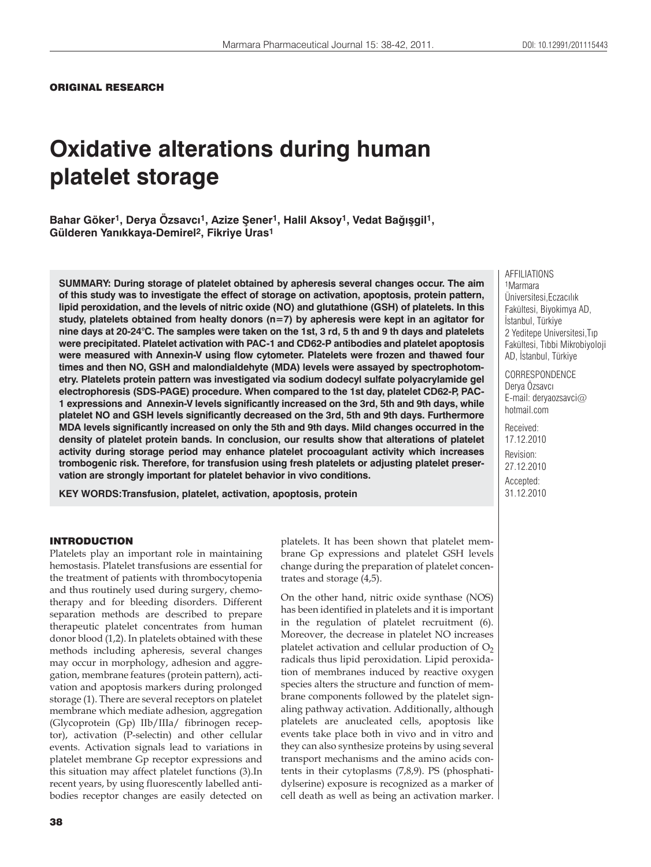### ORIGINAL RESEARCH

# **Oxidative alterations during human platelet storage**

**Bahar Göker1, Derya Özsavc×1, Azize ûener1, Halil Aksoy1, Vedat Baù×ügil1, Gülderen Yan×kkaya-Demirel2, Fikriye Uras1**

**SUMMARY: During storage of platelet obtained by apheresis several changes occur. The aim of this study was to investigate the effect of storage on activation, apoptosis, protein pattern, lipid peroxidation, and the levels of nitric oxide (NO) and glutathione (GSH) of platelets. In this study, platelets obtained from healty donors (n=7) by apheresis were kept in an agitator for nine days at 20-24°C. The samples were taken on the 1st, 3 rd, 5 th and 9 th days and platelets were precipitated. Platelet activation with PAC-1 and CD62-P antibodies and platelet apoptosis were measured with Annexin-V using flow cytometer. Platelets were frozen and thawed four times and then NO, GSH and malondialdehyte (MDA) levels were assayed by spectrophotometry. Platelets protein pattern was investigated via sodium dodecyl sulfate polyacrylamide gel electrophoresis (SDS-PAGE) procedure. When compared to the 1st day, platelet CD62-P, PAC-1 expressions and Annexin-V levels significantly increased on the 3rd, 5th and 9th days, while platelet NO and GSH levels significantly decreased on the 3rd, 5th and 9th days. Furthermore MDA levels significantly increased on only the 5th and 9th days. Mild changes occurred in the density of platelet protein bands. In conclusion, our results show that alterations of platelet activity during storage period may enhance platelet procoagulant activity which increases trombogenic risk. Therefore, for transfusion using fresh platelets or adjusting platelet preservation are strongly important for platelet behavior in vivo conditions.**

**KEY WORDS:Transfusion, platelet, activation, apoptosis, protein**

#### INTRODUCTION

Platelets play an important role in maintaining hemostasis. Platelet transfusions are essential for the treatment of patients with thrombocytopenia and thus routinely used during surgery, chemotherapy and for bleeding disorders. Different separation methods are described to prepare therapeutic platelet concentrates from human donor blood (1,2). In platelets obtained with these methods including apheresis, several changes may occur in morphology, adhesion and aggregation, membrane features (protein pattern), activation and apoptosis markers during prolonged storage (1). There are several receptors on platelet membrane which mediate adhesion, aggregation (Glycoprotein (Gp) IIb/IIIa/ fibrinogen receptor), activation (P-selectin) and other cellular events. Activation signals lead to variations in platelet membrane Gp receptor expressions and this situation may affect platelet functions (3).In recent years, by using fluorescently labelled antibodies receptor changes are easily detected on

platelets. It has been shown that platelet membrane Gp expressions and platelet GSH levels change during the preparation of platelet concentrates and storage (4,5).

On the other hand, nitric oxide synthase (NOS) has been identified in platelets and it is important in the regulation of platelet recruitment (6). Moreover, the decrease in platelet NO increases platelet activation and cellular production of  $O<sub>2</sub>$ radicals thus lipid peroxidation. Lipid peroxidation of membranes induced by reactive oxygen species alters the structure and function of membrane components followed by the platelet signaling pathway activation. Additionally, although platelets are anucleated cells, apoptosis like events take place both in vivo and in vitro and they can also synthesize proteins by using several transport mechanisms and the amino acids contents in their cytoplasms (7,8,9). PS (phosphatidylserine) exposure is recognized as a marker of cell death as well as being an activation marker. AFFILIATIONS 1Marmara Üniversitesi, Eczacılık Fakültesi, Biyokimya AD, İstanbul, Türkiye 2 Yeditepe Universitesi, Tip Fakültesi, Tıbbi Mikrobiyoloji AD, İstanbul, Türkiye

CORRESPONDENCE Derya Özsavcı E-mail: deryaozsavci@ hotmail.com

Received: 17.12.2010 Revision: 27.12.2010 Accepted: 31.12.2010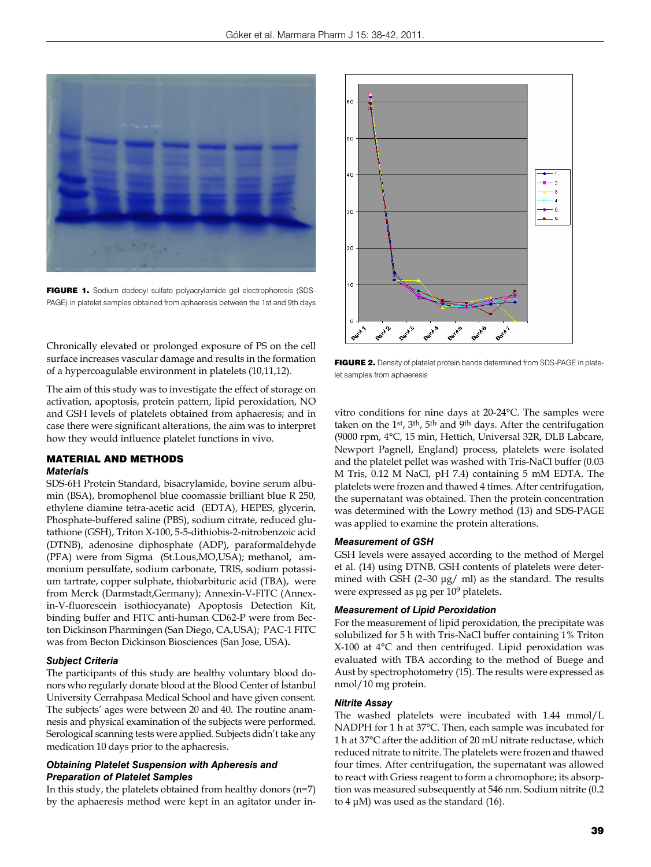

FIGURE 1. Sodium dodecyl sulfate polyacrylamide gel electrophoresis (SDS-PAGE) in platelet samples obtained from aphaeresis between the 1st and 9th days

Chronically elevated or prolonged exposure of PS on the cell surface increases vascular damage and results in the formation of a hypercoagulable environment in platelets (10,11,12).

The aim of this study was to investigate the effect of storage on activation, apoptosis, protein pattern, lipid peroxidation, NO and GSH levels of platelets obtained from aphaeresis; and in case there were significant alterations, the aim was to interpret how they would influence platelet functions in vivo.

## MATERIAL AND METHODS

## *Materials*

SDS-6H Protein Standard, bisacrylamide, bovine serum albumin (BSA), bromophenol blue coomassie brilliant blue R 250, ethylene diamine tetra-acetic acid (EDTA), HEPES, glycerin, Phosphate-buffered saline (PBS), sodium citrate, reduced glutathione (GSH), Triton X-100, 5-5-dithiobis-2-nitrobenzoic acid (DTNB), adenosine diphosphate (ADP), paraformaldehyde (PFA) were from Sigma (St.Lous,MO,USA); methanol**,** ammonium persulfate, sodium carbonate, TRIS, sodium potassium tartrate, copper sulphate, thiobarbituric acid (TBA), were from Merck (Darmstadt,Germany); Annexin-V-FITC (Annexin-V-fluorescein isothiocyanate) Apoptosis Detection Kit, binding buffer and FITC anti-human CD62-P were from Becton Dickinson Pharmingen (San Diego, CA,USA); PAC-1 FITC was from Becton Dickinson Biosciences (San Jose, USA)**.**

#### *Subject Criteria*

The participants of this study are healthy voluntary blood donors who regularly donate blood at the Blood Center of İstanbul University Cerrahpasa Medical School and have given consent. The subjects' ages were between 20 and 40. The routine anamnesis and physical examination of the subjects were performed. Serological scanning tests were applied. Subjects didn't take any medication 10 days prior to the aphaeresis.

### *Obtaining Platelet Suspension with Apheresis and Preparation of Platelet Samples*

In this study, the platelets obtained from healthy donors (n=7) by the aphaeresis method were kept in an agitator under in-



FIGURE 2. Density of platelet protein bands determined from SDS-PAGE in platelet samples from aphaeresis

vitro conditions for nine days at 20-24°C. The samples were taken on the 1st, 3th, 5th and 9th days. After the centrifugation (9000 rpm, 4°C, 15 min, Hettich, Universal 32R, DLB Labcare, Newport Pagnell, England) process, platelets were isolated and the platelet pellet was washed with Tris-NaCl buffer (0.03 M Tris, 0.12 M NaCl, pH 7.4) containing 5 mM EDTA. The platelets were frozen and thawed 4 times. After centrifugation, the supernatant was obtained. Then the protein concentration was determined with the Lowry method (13) and SDS-PAGE was applied to examine the protein alterations.

#### *Measurement of GSH*

GSH levels were assayed according to the method of Mergel et al. (14) using DTNB. GSH contents of platelets were determined with GSH (2–30 μg/ ml) as the standard. The results were expressed as μg per 10<sup>9</sup> platelets.

#### *Measurement of Lipid Peroxidation*

For the measurement of lipid peroxidation, the precipitate was solubilized for 5 h with Tris-NaCl buffer containing 1% Triton X-100 at 4°C and then centrifuged. Lipid peroxidation was evaluated with TBA according to the method of Buege and Aust by spectrophotometry (15). The results were expressed as nmol/10 mg protein.

#### *Nitrite Assay*

The washed platelets were incubated with 1.44 mmol/L NADPH for 1 h at 37°C. Then, each sample was incubated for 1 h at 37°C after the addition of 20 mU nitrate reductase, which reduced nitrate to nitrite. The platelets were frozen and thawed four times. After centrifugation, the supernatant was allowed to react with Griess reagent to form a chromophore; its absorption was measured subsequently at 546 nm. Sodium nitrite (0.2 to  $4 \mu$ M) was used as the standard (16).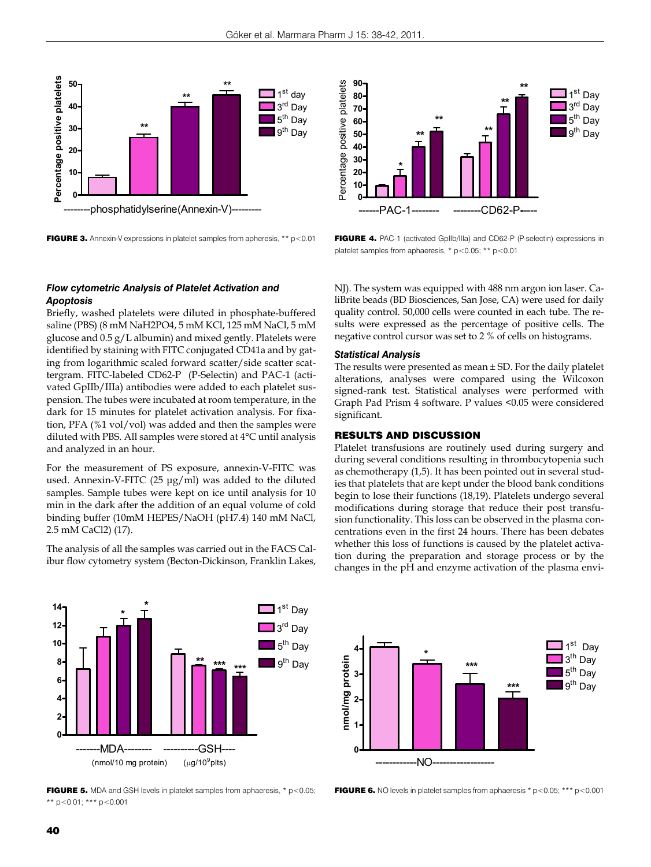

FIGURE 3. Annexin-V expressions in platelet samples from apheresis, \*\* p<0.01



FIGURE 4. PAC-1 (activated GpIIb/IIIa) and CD62-P (P-selectin) expressions in platelet samples from aphaeresis, \* p<0.05; \*\* p<0.01

## *Flow cytometric Analysis of Platelet Activation and Apoptosis*

Briefly, washed platelets were diluted in phosphate-buffered saline (PBS) (8 mM NaH2PO4, 5 mM KCl, 125 mM NaCl, 5 mM glucose and 0.5 g/L albumin) and mixed gently. Platelets were identified by staining with FITC conjugated CD41a and by gating from logarithmic scaled forward scatter/side scatter scattergram. FITC-labeled CD62-P (P-Selectin) and PAC-1 (activated GpIIb/IIIa) antibodies were added to each platelet suspension. The tubes were incubated at room temperature, in the dark for 15 minutes for platelet activation analysis. For fixation, PFA (%1 vol/vol) was added and then the samples were diluted with PBS. All samples were stored at 4°C until analysis and analyzed in an hour.

For the measurement of PS exposure, annexin-V-FITC was used. Annexin-V-FITC (25 μg/ml) was added to the diluted samples. Sample tubes were kept on ice until analysis for 10 min in the dark after the addition of an equal volume of cold binding buffer (10mM HEPES/NaOH (pH7.4) 140 mM NaCl, 2.5 mM CaCl2) (17).

The analysis of all the samples was carried out in the FACS Calibur flow cytometry system (Becton-Dickinson, Franklin Lakes,



**FIGURE 5.** MDA and GSH levels in platelet samples from aphaeresis,  $*$   $p$  < 0.05; \*\* p<0.01; \*\*\* p<0.001

NJ). The system was equipped with 488 nm argon ion laser. CaliBrite beads (BD Biosciences, San Jose, CA) were used for daily quality control. 50,000 cells were counted in each tube. The results were expressed as the percentage of positive cells. The negative control cursor was set to 2 % of cells on histograms.

#### *Statistical Analysis*

The results were presented as mean ± SD. For the daily platelet alterations, analyses were compared using the Wilcoxon signed-rank test. Statistical analyses were performed with Graph Pad Prism 4 software. P values <0.05 were considered significant.

## RESULTS AND DISCUSSION

Platelet transfusions are routinely used during surgery and during several conditions resulting in thrombocytopenia such as chemotherapy (1,5). It has been pointed out in several studies that platelets that are kept under the blood bank conditions begin to lose their functions (18,19). Platelets undergo several modifications during storage that reduce their post transfusion functionality. This loss can be observed in the plasma concentrations even in the first 24 hours. There has been debates whether this loss of functions is caused by the platelet activation during the preparation and storage process or by the changes in the pH and enzyme activation of the plasma envi-



**FIGURE 6.** NO levels in platelet samples from aphaeresis  $*$  p<0.05;  $***$  p<0.001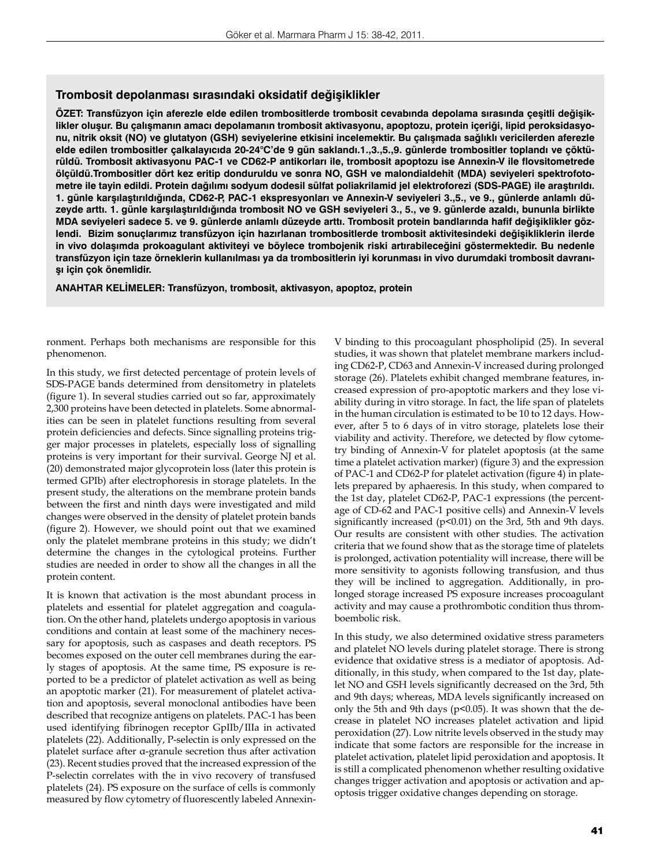## **Trombosit depolanması sırasındaki oksidatif değişiklikler**

**ÖZET: Transfüzyon için aferezle elde edilen trombositlerde trombosit cevabında depolama sırasında çeşitli değişiklikler oluşur. Bu çalışmanın amacı depolamanın trombosit aktivasyonu, apoptozu, protein içeriği, lipid peroksidasyonu, nitrik oksit (NO) ve glutatyon (GSH) seviyelerine etkisini incelemektir. Bu çalışmada sağlıklı vericilerden aferezle elde edilen trombositler çalkalayıcıda 20-24°C'de 9 gün saklandı.1.,3.,5.,9. günlerde trombositler toplandı ve çöktürüldü. Trombosit aktivasyonu PAC-1 ve CD62-P antikorları ile, trombosit apoptozu ise Annexin-V ile flovsitometrede ölçüldü.Trombositler dört kez eritip donduruldu ve sonra NO, GSH ve malondialdehit (MDA) seviyeleri spektrofotometre ile tayin edildi. Protein dağılımı sodyum dodesil sülfat poliakrilamid jel elektroforezi (SDS-PAGE) ile araştırıldı. 1. günle karşılaştırıldığında, CD62-P, PAC-1 ekspresyonları ve Annexin-V seviyeleri 3.,5., ve 9., günlerde anlamlı düzeyde arttı. 1. günle karşılaştırıldığında trombosit NO ve GSH seviyeleri 3., 5., ve 9. günlerde azaldı, bununla birlikte MDA seviyeleri sadece 5. ve 9. günlerde anlamlı düzeyde arttı. Trombosit protein bandlarında hafif değişiklikler gözlendi. Bizim sonuçlarımız transfüzyon için hazırlanan trombositlerde trombosit aktivitesindeki değişikliklerin ilerde in vivo dolaşımda prokoagulant aktiviteyi ve böylece trombojenik riski artırabileceğini göstermektedir. Bu nedenle transfüzyon için taze örneklerin kullanılması ya da trombositlerin iyi korunması in vivo durumdaki trombosit davranışı için çok önemlidir.** 

**ANAHTAR KELİMELER: Transfüzyon, trombosit, aktivasyon, apoptoz, protein**

ronment. Perhaps both mechanisms are responsible for this phenomenon.

In this study, we first detected percentage of protein levels of SDS-PAGE bands determined from densitometry in platelets (figure 1). In several studies carried out so far, approximately 2,300 proteins have been detected in platelets. Some abnormalities can be seen in platelet functions resulting from several protein deficiencies and defects. Since signalling proteins trigger major processes in platelets, especially loss of signalling proteins is very important for their survival. George NJ et al. (20) demonstrated major glycoprotein loss (later this protein is termed GPIb) after electrophoresis in storage platelets. In the present study, the alterations on the membrane protein bands between the first and ninth days were investigated and mild changes were observed in the density of platelet protein bands (figure 2). However, we should point out that we examined only the platelet membrane proteins in this study; we didn't determine the changes in the cytological proteins. Further studies are needed in order to show all the changes in all the protein content.

It is known that activation is the most abundant process in platelets and essential for platelet aggregation and coagulation. On the other hand, platelets undergo apoptosis in various conditions and contain at least some of the machinery necessary for apoptosis, such as caspases and death receptors. PS becomes exposed on the outer cell membranes during the early stages of apoptosis. At the same time, PS exposure is reported to be a predictor of platelet activation as well as being an apoptotic marker (21). For measurement of platelet activation and apoptosis, several monoclonal antibodies have been described that recognize antigens on platelets. PAC-1 has been used identifying fibrinogen receptor GpIIb/IIIa in activated platelets (22). Additionally, P-selectin is only expressed on the platelet surface after α-granule secretion thus after activation (23). Recent studies proved that the increased expression of the P-selectin correlates with the in vivo recovery of transfused platelets (24). PS exposure on the surface of cells is commonly measured by flow cytometry of fluorescently labeled Annexin-

V binding to this procoagulant phospholipid (25). In several studies, it was shown that platelet membrane markers including CD62-P, CD63 and Annexin-V increased during prolonged storage (26). Platelets exhibit changed membrane features, increased expression of pro-apoptotic markers and they lose viability during in vitro storage. In fact, the life span of platelets in the human circulation is estimated to be 10 to 12 days. However, after 5 to 6 days of in vitro storage, platelets lose their viability and activity. Therefore, we detected by flow cytometry binding of Annexin-V for platelet apoptosis (at the same time a platelet activation marker) (figure 3) and the expression of PAC-1 and CD62-P for platelet activation (figure 4) in platelets prepared by aphaeresis. In this study, when compared to the 1st day, platelet CD62-P, PAC-1 expressions (the percentage of CD-62 and PAC-1 positive cells) and Annexin-V levels significantly increased (p<0.01) on the 3rd, 5th and 9th days. Our results are consistent with other studies. The activation criteria that we found show that as the storage time of platelets is prolonged, activation potentiality will increase, there will be more sensitivity to agonists following transfusion, and thus they will be inclined to aggregation. Additionally, in prolonged storage increased PS exposure increases procoagulant activity and may cause a prothrombotic condition thus thromboembolic risk.

In this study, we also determined oxidative stress parameters and platelet NO levels during platelet storage. There is strong evidence that oxidative stress is a mediator of apoptosis. Additionally, in this study, when compared to the 1st day, platelet NO and GSH levels significantly decreased on the 3rd, 5th and 9th days; whereas, MDA levels significantly increased on only the 5th and 9th days ( $p$ <0.05). It was shown that the decrease in platelet NO increases platelet activation and lipid peroxidation (27). Low nitrite levels observed in the study may indicate that some factors are responsible for the increase in platelet activation, platelet lipid peroxidation and apoptosis. It is still a complicated phenomenon whether resulting oxidative changes trigger activation and apoptosis or activation and apoptosis trigger oxidative changes depending on storage.